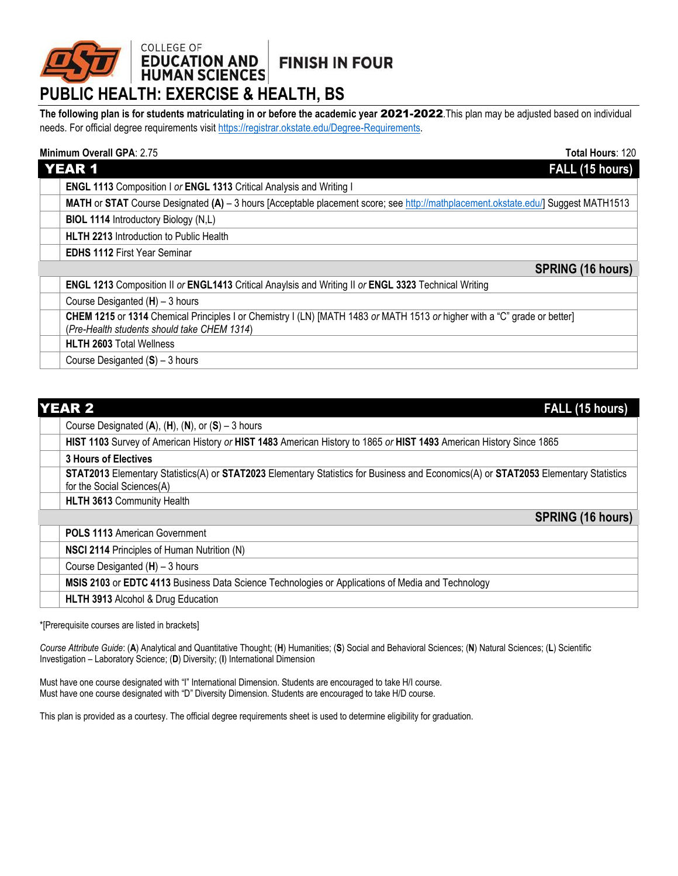## **FINISH IN FOUR**

# COLLEGE OF<br>**EDUCATION AND**<br>HUMAN SCIENCES **PUBLIC HEALTH: EXERCISE & HEALTH, BS**

**The following plan is for students matriculating in or before the academic year** 2021-2022.This plan may be adjusted based on individual needs. For official degree requirements visit [https://registrar.okstate.edu/Degree-Requirements.](https://registrar.okstate.edu/Degree-Requirements)

## **Minimum Overall GPA**: 2.75 **Total Hours**: 120

| <b>YEAR 1</b><br>FALL (15 hours)                                                                                                  |  |  |
|-----------------------------------------------------------------------------------------------------------------------------------|--|--|
| ENGL 1113 Composition I or ENGL 1313 Critical Analysis and Writing I                                                              |  |  |
| MATH or STAT Course Designated (A) - 3 hours [Acceptable placement score; see http://mathplacement.okstate.edu/] Suggest MATH1513 |  |  |
| <b>BIOL 1114 Introductory Biology (N,L)</b>                                                                                       |  |  |
| HLTH 2213 Introduction to Public Health                                                                                           |  |  |
| <b>EDHS 1112 First Year Seminar</b>                                                                                               |  |  |
| <b>SPRING (16 hours)</b>                                                                                                          |  |  |
| ENGL 1213 Composition II or ENGL1413 Critical Anaylsis and Writing II or ENGL 3323 Technical Writing                              |  |  |
| Course Desiganted $(H)$ – 3 hours                                                                                                 |  |  |
| CHEM 1215 or 1314 Chemical Principles I or Chemistry I (LN) [MATH 1483 or MATH 1513 or higher with a "C" grade or better]         |  |  |
| (Pre-Health students should take CHEM 1314)                                                                                       |  |  |
| <b>HLTH 2603 Total Wellness</b>                                                                                                   |  |  |
| Course Desiganted $(S)$ – 3 hours                                                                                                 |  |  |

| <b>YEAR 2</b><br>FALL (15 hours) |                                                                                                                                                                   |
|----------------------------------|-------------------------------------------------------------------------------------------------------------------------------------------------------------------|
|                                  | Course Designated $(A)$ , $(H)$ , $(N)$ , or $(S)$ – 3 hours                                                                                                      |
|                                  | HIST 1103 Survey of American History or HIST 1483 American History to 1865 or HIST 1493 American History Since 1865                                               |
|                                  | <b>3 Hours of Electives</b>                                                                                                                                       |
|                                  | STAT2013 Elementary Statistics(A) or STAT2023 Elementary Statistics for Business and Economics(A) or STAT2053 Elementary Statistics<br>for the Social Sciences(A) |
|                                  | <b>HLTH 3613 Community Health</b>                                                                                                                                 |
|                                  | <b>SPRING (16 hours)</b>                                                                                                                                          |
|                                  | <b>POLS 1113 American Government</b>                                                                                                                              |
|                                  | NSCI 2114 Principles of Human Nutrition (N)                                                                                                                       |
|                                  | Course Desiganted $(H)$ – 3 hours                                                                                                                                 |
|                                  | MSIS 2103 or EDTC 4113 Business Data Science Technologies or Applications of Media and Technology                                                                 |
|                                  | HLTH 3913 Alcohol & Drug Education                                                                                                                                |

\*[Prerequisite courses are listed in brackets]

*Course Attribute Guide*: (**A**) Analytical and Quantitative Thought; (**H**) Humanities; (**S**) Social and Behavioral Sciences; (**N**) Natural Sciences; (**L**) Scientific Investigation – Laboratory Science; (**D**) Diversity; (**I**) International Dimension

Must have one course designated with "I" International Dimension. Students are encouraged to take H/I course. Must have one course designated with "D" Diversity Dimension. Students are encouraged to take H/D course.

This plan is provided as a courtesy. The official degree requirements sheet is used to determine eligibility for graduation.